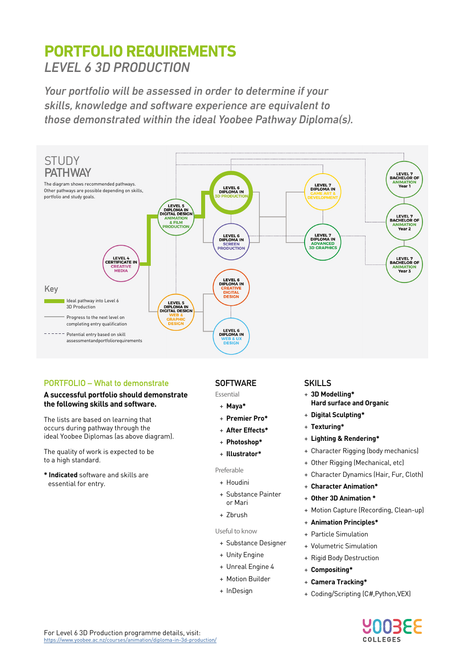# **PORTFOLIO REQUIREMENTS** *LEVEL 6 3D PRODUCTION*

*Your portfolio will be assessed in order to determine if your skills, knowledge and software experience are equivalent to those demonstrated within the ideal Yoobee Pathway Diploma(s).*



## **PORTFOLIO – What to demonstrate**

### **A successful portfolio should demonstrate the following skills and software.**

The lists are based on learning that occurs during pathway through the ideal Yoobee Diplomas (as above diagram).

The quality of work is expected to be to a high standard.

**\* Indicated** software and skills are essential for entry.

## **SOFTWARE**

Essential

- + **Maya\***
- + **Premier Pro\***
- + **After Effects\***
- + **Photoshop\***
- + **Illustrator\***

## Preferable

- + Houdini
- + Substance Painter or Mari
- + Zbrush

#### Useful to know

- + Substance Designer
- + Unity Engine
- + Unreal Engine 4
- + Motion Builder
- + InDesign

## **SKILLS**

- + **3D Modelling\* Hard surface and Organic**
- + **Digital Sculpting\***
- + **Texturing\***
- + **Lighting & Rendering\***
- + Character Rigging (body mechanics)
- + Other Rigging (Mechanical, etc)
- + Character Dynamics (Hair, Fur, Cloth)
- + **Character Animation\***
- + **Other 3D Animation \***
- + Motion Capture (Recording, Clean-up)
- + **Animation Principles\***
- + Particle Simulation
- + Volumetric Simulation
- + Rigid Body Destruction
- + **Compositing\***
- + **Camera Tracking\***
- + Coding/Scripting (C#,Python,VEX)